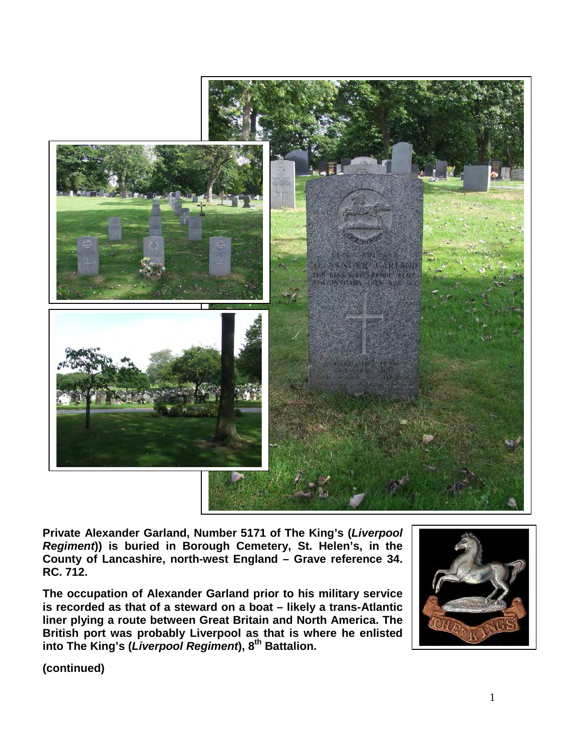

**Private Alexander Garland, Number 5171 of The King's (***Liverpool Regiment***)) is buried in Borough Cemetery, St. Helen's, in the County of Lancashire, north-west England – Grave reference 34. RC. 712.**

**The occupation of Alexander Garland prior to his military service is recorded as that of a steward on a boat – likely a trans-Atlantic liner plying a route between Great Britain and North America. The British port was probably Liverpool as that is where he enlisted into The King's (***Liverpool Regiment***), 8th Battalion.**



**(continued)**